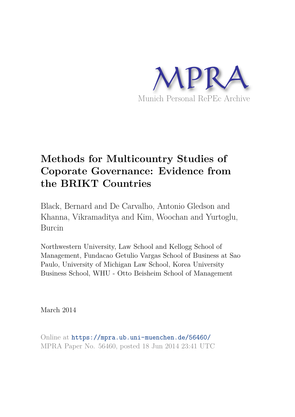

# **Methods for Multicountry Studies of Coporate Governance: Evidence from the BRIKT Countries**

Black, Bernard and De Carvalho, Antonio Gledson and Khanna, Vikramaditya and Kim, Woochan and Yurtoglu, Burcin

Northwestern University, Law School and Kellogg School of Management, Fundacao Getulio Vargas School of Business at Sao Paulo, University of Michigan Law School, Korea University Business School, WHU - Otto Beisheim School of Management

March 2014

Online at https://mpra.ub.uni-muenchen.de/56460/ MPRA Paper No. 56460, posted 18 Jun 2014 23:41 UTC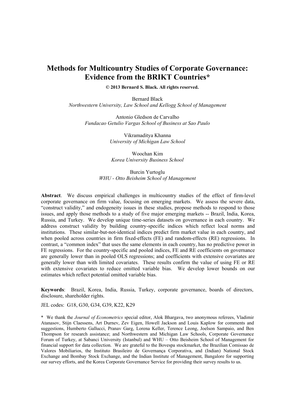# **Methods for Multicountry Studies of Corporate Governance: Evidence from the BRIKT Countries\***

**© 2013 Bernard S. Black. All rights reserved.** 

Bernard Black *Northwestern University, Law School and Kellogg School of Management* 

Antonio Gledson de Carvalho *Fundacao Getulio Vargas School of Business at Sao Paulo* 

> Vikramaditya Khanna *University of Michigan Law School*

Woochan Kim *Korea University Business School* 

Burcin Yurtoglu *WHU - Otto Beisheim School of Management* 

**Abstract**. We discuss empirical challenges in multicountry studies of the effect of firm-level corporate governance on firm value, focusing on emerging markets. We assess the severe data, "construct validity," and endogeneity issues in these studies, propose methods to respond to those issues, and apply those methods to a study of five major emerging markets -- Brazil, India, Korea, Russia, and Turkey. We develop unique time-series datasets on governance in each country. We address construct validity by building country-specific indices which reflect local norms and institutions. These similar-but-not-identical indices predict firm market value in each country, and when pooled across countries in firm fixed-effects (FE) and random-effects (RE) regressions. In contrast, a "common index" that uses the same elements in each country, has no predictive power in FE regressions. For the country-specific and pooled indices, FE and RE coefficients on governance are generally lower than in pooled OLS regressions; and coefficients with extensive covariates are generally lower than with limited covariates. These results confirm the value of using FE or RE with extensive covariates to reduce omitted variable bias. We develop lower bounds on our estimates which reflect potential omitted variable bias.

**Keywords**: Brazil, Korea, India, Russia, Turkey, corporate governance, boards of directors, disclosure, shareholder rights.

JEL codes: G18, G30, G34, G39, K22, K29

\* We thank the *Journal of Econometrics* special editor, Alok Bhargava, two anonymous referees, Vladimir Atanasov, Stijn Claessens, Art Durnev, Zev Eigen, Howell Jackson and Louis Kaplow for comments and suggestions, Humberto Gallucci, Pranav Garg, Lorena Keller, Terence Leong, Joelson Sampaio, and Ben Thompson for research assistance; and Northwestern and Michigan Law Schools, Corporate Governance Forum of Turkey, at Sabanci University (Istanbul) and WHU – Otto Beisheim School of Management for financial support for data collection. We are grateful to the Bovespa stockmarket, the Brazilian Comissao de Valores Mobiliarios, the Instituto Brasileiro de Governança Corporativa, and (Indian) National Stock Exchange and Bombay Stock Exchange, and the Indian Institute of Management, Bangalore for supporting our survey efforts, and the Korea Corporate Governance Service for providing their survey results to us.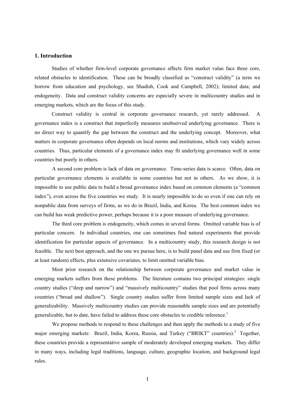### **1. Introduction**

Studies of whether firm-level corporate governance affects firm market value face three core, related obstacles to identification. These can be broadly classified as "construct validity" (a term we borrow from education and psychology, see Shadish, Cook and Campbell, 2002); limited data; and endogeneity. Data and construct validity concerns are especially severe in multicountry studies and in emerging markets, which are the focus of this study.

Construct validity is central in corporate governance research, yet rarely addressed. A governance index is a construct that imperfectly measures unobserved underlying governance. There is no direct way to quantify the gap between the construct and the underlying concept. Moreover, what matters in corporate governance often depends on local norms and institutions, which vary widely across countries. Thus, particular elements of a governance index may fit underlying governance well in some countries but poorly in others.

A second core problem is lack of data on governance. Time-series data is scarce. Often, data on particular governance elements is available in some countries but not in others. As we show, it is impossible to use public data to build a broad governance index based on common elements (a "common index"), even across the five countries we study. It is nearly impossible to do so even if one can rely on nonpublic data from surveys of firms, as we do in Brazil, India, and Korea. The best common index we can build has weak predictive power, perhaps because it is a poor measure of underlying governance.

The third core problem is endogeneity, which comes in several forms. Omitted variable bias is of particular concern. In individual countries, one can sometimes find natural experiments that provide identification for particular aspects of governance. In a multicountry study, this research design is not feasible. The next best approach, and the one we pursue here, is to build panel data and use firm fixed (or at least random) effects, plus extensive covariates, to limit omitted variable bias.

Most prior research on the relationship between corporate governance and market value in emerging markets suffers from these problems. The literature contains two principal strategies: single country studies ("deep and narrow") and "massively multicountry" studies that pool firms across many countries ("broad and shallow"). Single country studies suffer from limited sample sizes and lack of generalizability. Massively multicountry studies can provide reasonable sample sizes and are potentially generalizable, but to date, have failed to address these core obstacles to credible inference.<sup>1</sup>

We propose methods to respond to these challenges and then apply the methods to a study of five major emerging markets: Brazil, India, Korea, Russia, and Turkey ("BRIKT" countries).<sup>2</sup> Together, these countries provide a representative sample of moderately developed emerging markets. They differ in many ways, including legal traditions, language, culture, geographic location, and background legal rules.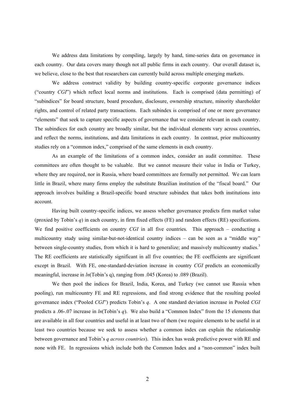We address data limitations by compiling, largely by hand, time-series data on governance in each country. Our data covers many though not all public firms in each country. Our overall dataset is, we believe, close to the best that researchers can currently build across multiple emerging markets.

We address construct validity by building country-specific corporate governance indices ("country *CGI*") which reflect local norms and institutions. Each is comprised (data permitting) of "subindices" for board structure, board procedure, disclosure, ownership structure, minority shareholder rights, and control of related party transactions. Each subindex is comprised of one or more governance "elements" that seek to capture specific aspects of governance that we consider relevant in each country. The subindices for each country are broadly similar, but the individual elements vary across countries, and reflect the norms, institutions, and data limitations in each country. In contrast, prior multicountry studies rely on a "common index," comprised of the same elements in each country.

As an example of the limitations of a common index, consider an audit committee. These committees are often thought to be valuable. But we cannot measure their value in India or Turkey, where they are required, nor in Russia, where board committees are formally not permitted. We can learn little in Brazil, where many firms employ the substitute Brazilian institution of the "fiscal board." Our approach involves building a Brazil-specific board structure subindex that takes both institutions into account.

Having built country-specific indices, we assess whether governance predicts firm market value (proxied by Tobin's *q*) in each country, in firm fixed effects (FE) and random effects (RE) specifications. We find positive coefficients on country *CGI* in all five countries. This approach – conducting a multicountry study using similar-but-not-identical country indices – can be seen as a "middle way" between single-country studies, from which it is hard to generalize; and massively multicountry studies.<sup>3</sup> The RE coefficients are statistically significant in all five countries; the FE coefficients are significant except in Brazil. With FE, one-standard-deviation increase in country *CGI* predicts an economically meaningful, increase in *ln*(Tobin's q), ranging from .045 (Korea) to .089 (Brazil).

We then pool the indices for Brazil, India, Korea, and Turkey (we cannot use Russia when pooling), run multicountry FE and RE regressions, and find strong evidence that the resulting pooled governance index ("Pooled *CGI*") predicts Tobin's *q*. A one standard deviation increase in Pooled *CGI* predicts a .06-.07 increase in *ln*(Tobin's *q*). We also build a "Common Index" from the 15 elements that are available in all four countries and useful in at least two of them (we require elements to be useful in at least two countries because we seek to assess whether a common index can explain the relationship between governance and Tobin's *q across countries*). This index has weak predictive power with RE and none with FE. In regressions which include both the Common Index and a "non-common" index built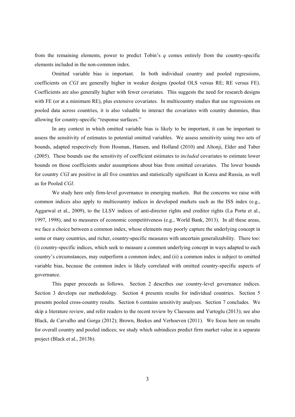from the remaining elements, power to predict Tobin's *q* comes entirely from the country-specific elements included in the non-common index.

Omitted variable bias is important. In both individual country and pooled regressions, coefficients on *CGI* are generally higher in weaker designs (pooled OLS versus RE; RE versus FE). Coefficients are also generally higher with fewer covariates. This suggests the need for research designs with FE (or at a minimum RE), plus extensive covariates. In multicountry studies that use regressions on pooled data across countries, it is also valuable to interact the covariates with country dummies, thus allowing for country-specific "response surfaces."

In any context in which omitted variable bias is likely to be important, it can be important to assess the sensitivity of estimates to potential omitted variables. We assess sensitivity using two sets of bounds, adapted respectively from Hosman, Hansen, and Holland (2010) and Altonji, Elder and Taber (2005). These bounds use the sensitivity of coefficient estimates to *included* covariates to estimate lower bounds on those coefficients under assumptions about bias from omitted covariates. The lower bounds for country *CGI* are positive in all five countries and statistically significant in Korea and Russia, as well as for Pooled *CGI*.

We study here only firm-level governance in emerging markets. But the concerns we raise with common indices also apply to multicountry indices in developed markets such as the ISS index (e.g., Aggarwal et al., 2009), to the LLSV indices of anti-director rights and creditor rights (La Porta et al., 1997, 1998), and to measures of economic competitiveness (e.g., World Bank, 2013). In all these areas, we face a choice between a common index, whose elements may poorly capture the underlying concept in some or many countries, and richer, country-specific measures with uncertain generalizability. There too: (i) country-specific indices, which seek to measure a common underlying concept in ways adapted to each country's circumstances, may outperform a common index; and (ii) a common index is subject to omitted variable bias, because the common index is likely correlated with omitted country-specific aspects of governance.

This paper proceeds as follows. Section 2 describes our country-level governance indices. Section 3 develops our methodology. Section 4 presents results for individual countries. Section 5 presents pooled cross-country results. Section 6 contains sensitivity analyses. Section 7 concludes. We skip a literature review, and refer readers to the recent review by Claessens and Yurtoglu (2013); see also Black, de Carvalho and Gorga (2012); Brown, Beekes and Verhoeven (2011). We focus here on results for overall country and pooled indices; we study which subindices predict firm market value in a separate project (Black et al., 2013b).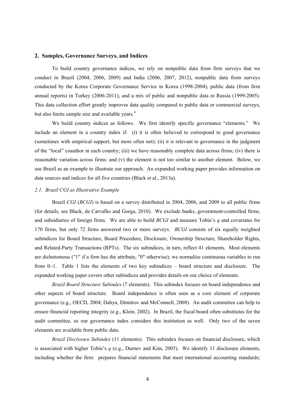#### **2. Samples, Governance Surveys, and Indices**

To build country governance indices, we rely on nonpublic data from firm surveys that we conduct in Brazil (2004, 2006, 2009) and India (2006, 2007, 2012), nonpublic data from surveys conducted by the Korea Corporate Governance Service in Korea (1998-2004), public data (from firm annual reports) in Turkey (2006-2011), and a mix of public and nonpublic data in Russia (1999-2005). This data collection effort greatly improves data quality compared to public data or commercial surveys, but also limits sample size and available years.<sup>4</sup>

We build country indices as follows. We first identify specific governance "elements." We include an element in a country index if: (i) it is often believed to correspond to good governance (sometimes with empirical support, but more often not); (ii) it is relevant to governance in the judgment of the "local" coauthor in each country; (iii) we have reasonably complete data across firms; (iv) there is reasonable variation across firms; and (v) the element is not too similar to another element. Below, we use Brazil as an example to illustrate our approach. An expanded working paper provides information on data sources and indices for all five countries (Black et al., 2013a).

#### *2.1. Brazil CGI as Illustrative Example*

Brazil *CGI* (*BCGI*) is based on a survey distributed in 2004, 2006, and 2009 to all public firms (for details, see Black, de Carvalho and Gorga, 2010). We exclude banks, government-controlled firms, and subsidiaries of foreign firms. We are able to build *BCGI* and measure Tobin's *q* and covariates for 170 firms, but only 72 firms answered two or more surveys. *BCGI* consists of six equally weighted subindices for Board Structure, Board Procedure, Disclosure, Ownership Structure, Shareholder Rights, and Related-Party Transactions (RPTs). The six subindices, in turn, reflect 41 elements. Most elements are dichotomous ("1" if a firm has the attribute, "0" otherwise); we normalize continuous variables to run from  $0\sim1$ . Table 1 lists the elements of two key subindices – board structure and disclosure. The expanded working paper covers other subindices and provides details on our choice of elements.

*Brazil Board Structure Subindex* (7 elements). This subindex focuses on board independence and other aspects of board structure. Board independence is often seen as a core element of corporate governance (e.g., OECD, 2004; Dahya, Dimitrov and McConnell, 2008). An audit committee can help to ensure financial reporting integrity (e.g., Klein, 2002). In Brazil, the fiscal board often substitutes for the audit committee, so our governance index considers this institution as well. Only two of the seven elements are available from public data.

*Brazil Disclosure Subindex* (11 elements). This subindex focuses on financial disclosure, which is associated with higher Tobin's *q* (e.g., Durnev and Kim, 2005). We identify 11 disclosure elements, including whether the firm: prepares financial statements that meet international accounting standards;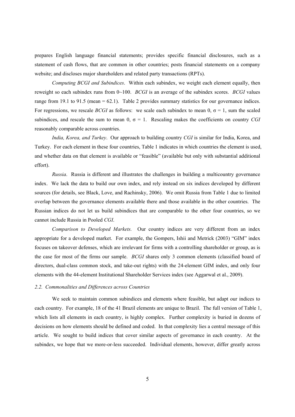prepares English language financial statements; provides specific financial disclosures, such as a statement of cash flows, that are common in other countries; posts financial statements on a company website; and discloses major shareholders and related party transactions (RPTs).

*Computing BCGI and Subindices*. Within each subindex, we weight each element equally, then reweight so each subindex runs from 0~100. *BCGI* is an average of the subindex scores. *BCGI* values range from 19.1 to 91.5 (mean = 62.1). Table 2 provides summary statistics for our governance indices. For regressions, we rescale *BCGI* as follows: we scale each subindex to mean 0,  $\sigma = 1$ , sum the scaled subindices, and rescale the sum to mean  $0$ ,  $\sigma = 1$ . Rescaling makes the coefficients on country *CGI* reasonably comparable across countries.

*India, Korea, and Turkey*. Our approach to building country *CGI* is similar for India, Korea, and Turkey. For each element in these four countries, Table 1 indicates in which countries the element is used, and whether data on that element is available or "feasible" (available but only with substantial additional effort).

*Russia*. Russia is different and illustrates the challenges in building a multicountry governance index. We lack the data to build our own index, and rely instead on six indices developed by different sources (for details, see Black, Love, and Rachinsky, 2006). We omit Russia from Table 1 due to limited overlap between the governance elements available there and those available in the other countries. The Russian indices do not let us build subindices that are comparable to the other four countries, so we cannot include Russia in Pooled *CGI*.

*Comparison to Developed Markets.* Our country indices are very different from an index appropriate for a developed market. For example, the Gompers, Ishii and Metrick (2003) "GIM" index focuses on takeover defenses, which are irrelevant for firms with a controlling shareholder or group, as is the case for most of the firms our sample. *BCGI* shares only 3 common elements (classified board of directors, dual-class common stock, and take-out rights) with the 24-element GIM index, and only four elements with the 44-element Institutional Shareholder Services index (see Aggarwal et al., 2009).

#### *2.2. Commonalities and Differences across Countries*

We seek to maintain common subindices and elements where feasible, but adapt our indices to each country. For example, 18 of the 41 Brazil elements are unique to Brazil. The full version of Table 1, which lists all elements in each country, is highly complex. Further complexity is buried in dozens of decisions on how elements should be defined and coded. In that complexity lies a central message of this article. We sought to build indices that cover similar aspects of governance in each country. At the subindex, we hope that we more-or-less succeeded. Individual elements, however, differ greatly across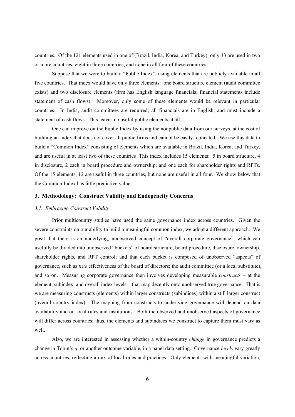countries. Of the 121 elements used in one of (Brazil, India, Korea, and Turkey), only 33 are used in two or more countries; eight in three countries, and none in all four of these countries.

Suppose that we were to build a "Public Index", using elements that are publicly available in all five countries. That index would have only three elements: one board structure element (audit committee exists) and two disclosure elements (firm has English language financials; financial statements include statement of cash flows). Moreover, only some of these elements would be relevant in particular countries. In India, audit committees are required; all financials are in English, and must include a statement of cash flows. This leaves no useful public elements at all.

One can improve on the Public Index by using the nonpublic data from our surveys, at the cost of building an index that does not cover all public firms and cannot be easily replicated. We use this data to build a "Common Index" consisting of elements which are available in Brazil, India, Korea, and Turkey, and are useful in at least two of these countries This index includes 15 elements: 5 in board structure, 4 in disclosure, 2 each in board procedure and ownership; and one each for shareholder rights and RPTs. Of the 15 elements, 12 are useful in three countries, but none are useful in all four. We show below that the Common Index has little predictive value.

#### **3. Methodology: Construct Validity and Endogeneity Concerns**

#### *3.1. Embracing Construct Validity*

Prior multicountry studies have used the same governance index across countries. Given the severe constraints on our ability to build a meaningful common index, we adopt a different approach. We posit that there is an underlying, unobserved concept of "overall corporate governance", which can usefully be divided into unobserved "buckets" of board structure, board procedure, disclosure, ownership, shareholder rights, and RPT control; and that each bucket is composed of unobserved "aspects" of governance, such as *true* effectiveness of the board of directors; the audit committee (or a local substitute), and so on. Measuring corporate governance then involves developing measurable *constructs* – at the element, subindex, and overall index levels – that map decently onto unobserved true governance. That is, we are measuring constructs (elements) within larger constructs (subindices) within a still larger construct (overall country index). The mapping from constructs to underlying governance will depend on data availability and on local rules and institutions. Both the observed and unobserved aspects of governance will differ across countries; thus, the elements and subindices we construct to capture them must vary as well.

Also, we are interested in assessing whether a within-country *change* in governance predicts a change in Tobin's *q*, or another outcome variable, in a panel data setting. Governance *levels* vary greatly across countries, reflecting a mix of local rules and practices. Only elements with meaningful variation,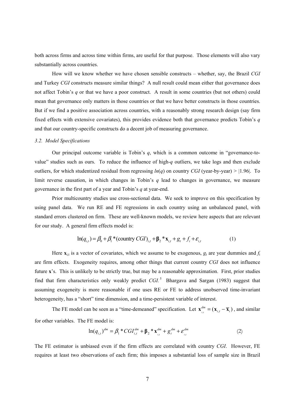both across firms and across time within firms, are useful for that purpose. Those elements will also vary substantially across countries.

How will we know whether we have chosen sensible constructs – whether, say, the Brazil *CGI* and Turkey *CGI* constructs measure similar things? A null result could mean either that governance does not affect Tobin's *q* or that we have a poor construct. A result in some countries (but not others) could mean that governance only matters in those countries or that we have better constructs in those countries. But if we find a positive association across countries, with a reasonably strong research design (say firm fixed effects with extensive covariates), this provides evidence both that governance predicts Tobin's *q* and that our country-specific constructs do a decent job of measuring governance.

#### *3.2. Model Specifications*

Our principal outcome variable is Tobin's *q*, which is a common outcome in "governance-tovalue" studies such as ours. To reduce the influence of high-*q* outliers, we take logs and then exclude outliers, for which studentized residual from regressing  $ln(q)$  on country *CGI* (year-by-year) > |1.96|. To limit reverse causation, in which changes in Tobin's  $q$  lead to changes in governance, we measure governance in the first part of a year and Tobin's *q* at year-end.

Prior multicountry studies use cross-sectional data. We seek to improve on this specification by using panel data. We run RE and FE regressions in each country using an unbalanced panel, with standard errors clustered on firm. These are well-known models, we review here aspects that are relevant for our study. A general firm effects model is:

$$
\ln(q_{i,t}) = \beta_0 + \beta_1 * (country CGI)_{i,t} + \beta_2 * x_{i,t} + g_t + f_i + \varepsilon_{i,t}
$$
 (1)

Here  $\mathbf{x}_{i,t}$  is a vector of covariates, which we assume to be exogenous,  $g_t$  are year dummies and  $f_i$ are firm effects. Exogeneity requires, among other things that current country *CGI* does not influence future **x**'s. This is unlikely to be strictly true, but may be a reasonable approximation. First, prior studies find that firm characteristics only weakly predict CGI.<sup>5</sup> Bhargava and Sargan (1983) suggest that assuming exogeneity is more reasonable if one uses RE or FE to address unobserved time-invariant heterogeneity, has a "short" time dimension, and a time-persistent variable of interest.

The FE model can be seen as a "time-demeaned" specification. Let  $\mathbf{x}_{i,t}^{dm} = (\mathbf{x}_{i,t} - \overline{\mathbf{x}}_i)$ ,  $\mathbf{x}_{i}^{dm} = (\mathbf{x}_{i,t} - \overline{\mathbf{x}}_i)$ , and similar for other variables. The FE model is:

$$
\ln(q_{i,t})^{dm} = \beta_1 * CGI_{i,t}^{dm} + \beta_2 * \mathbf{x}_{i,t}^{dm} + g_t^{dm} + \epsilon_{i,t}^{dm}
$$
 (2)

The FE estimator is unbiased even if the firm effects are correlated with country *CGI*. However, FE requires at least two observations of each firm; this imposes a substantial loss of sample size in Brazil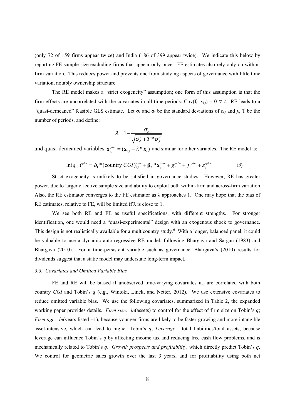(only 72 of 159 firms appear twice) and India (186 of 399 appear twice). We indicate this below by reporting FE sample size excluding firms that appear only once. FE estimates also rely only on withinfirm variation. This reduces power and prevents one from studying aspects of governance with little time variation, notably ownership structure.

The RE model makes a "strict exogeneity" assumption; one form of this assumption is that the firm effects are uncorrelated with the covariates in all time periods:  $Cov(f_i, x_{i,t}) = 0 \ \forall \ t$ . RE leads to a "quasi-demeaned" feasible GLS estimate. Let  $\sigma_{\epsilon}$  and  $\sigma_{\rm f}$  be the standard deviations of  $\varepsilon_{\rm i,t}$  and  $f_{\rm i}$ , T be the number of periods, and define:

$$
\lambda = 1 - \frac{\sigma_{\varepsilon}}{\sqrt{\sigma_{\varepsilon}^2 + T^* \sigma_{f}^2}}
$$

and quasi-demeaned variables  $\mathbf{x}_{i,t}^{qdm} = (\mathbf{x}_{i,t} - \lambda^* \overline{\mathbf{x}}_i)$  and similar for other variables. The RE model is:

$$
\ln(q_{i,t})^{qdm} = \beta_1 * (\text{country } CGI)^{qdm}_{i,t} + \beta_2 * \mathbf{x}_{i,t}^{qdm} + g_t^{qdm} + f_i^{qdm} + \varepsilon_{i,t}^{qdm}
$$
(3)

Strict exogeneity is unlikely to be satisfied in governance studies. However, RE has greater power, due to larger effective sample size and ability to exploit both within-firm and across-firm variation. Also, the RE estimator converges to the FE estimator as  $\lambda$  approaches 1. One may hope that the bias of RE estimates, relative to FE, will be limited if  $\lambda$  is close to 1.

We see both RE and FE as useful specifications, with different strengths. For stronger identification, one would need a "quasi-experimental" design with an exogenous shock to governance. This design is not realistically available for a multicountry study.<sup>6</sup> With a longer, balanced panel, it could be valuable to use a dynamic auto-regressive RE model, following Bhargava and Sargan (1983) and Bhargava (2010). For a time-persistent variable such as governance, Bhargava's (2010) results for dividends suggest that a static model may understate long-term impact.

#### *3.3. Covariates and Omitted Variable Bias*

FE and RE will be biased if unobserved time-varying covariates  $\mathbf{u}_{i,t}$  are correlated with both country *CGI* and Tobin's *q* (e.g., Wintoki, Linck, and Netter, 2012). We use extensive covariates to reduce omitted variable bias. We use the following covariates, summarized in Table 2, the expanded working paper provides details. *Firm size: ln*(assets) to control for the effect of firm size on Tobin's *q*; *Firm age: ln*(years listed +1), because younger firms are likely to be faster-growing and more intangible asset-intensive, which can lead to higher Tobin's *q*; *Leverage*: total liabilities/total assets, because leverage can influence Tobin's *q* by affecting income tax and reducing free cash flow problems, and is mechanically related to Tobin's *q*. *Growth prospects and profitability,* which directly predict Tobin's *q*. We control for geometric sales growth over the last 3 years, and for profitability using both net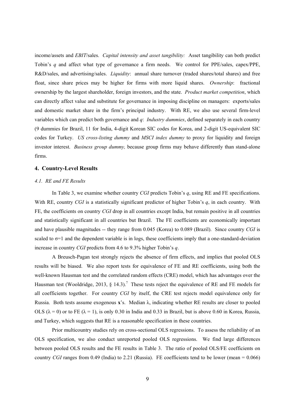income/assets and *EBIT*/sales. *Capital intensity and asset tangibility:* Asset tangibility can both predict Tobin's *q* and affect what type of governance a firm needs. We control for PPE/sales, capex/PPE, R&D/sales, and advertising/sales. *Liquidity*: annual share turnover (traded shares/total shares) and free float, since share prices may be higher for firms with more liquid shares. *Ownership*: fractional ownership by the largest shareholder, foreign investors, and the state. *Product market competition*, which can directly affect value and substitute for governance in imposing discipline on managers: exports/sales and domestic market share in the firm's principal industry. With RE, we also use several firm-level variables which can predict both governance and *q*: *Industry dummies*, defined separately in each country (9 dummies for Brazil, 11 for India, 4-digit Korean SIC codes for Korea, and 2-digit US-equivalent SIC codes for Turkey. *US cross-listing dummy* and *MSCI index dummy* to proxy for liquidity and foreign investor interest. *Business group dummy,* because group firms may behave differently than stand-alone firms.

#### **4. Country-Level Results**

#### *4.1. RE and FE Results*

In Table 3, we examine whether country *CGI* predicts Tobin's *q*, using RE and FE specifications. With RE, country *CGI* is a statistically significant predictor of higher Tobin's *q*, in each country. With FE, the coefficients on country *CGI* drop in all countries except India, but remain positive in all countries and statistically significant in all countries but Brazil. The FE coefficients are economically important and have plausible magnitudes -- they range from 0.045 (Korea) to 0.089 (Brazil). Since country *CGI* is scaled to  $\sigma$ =1 and the dependent variable is in logs, these coefficients imply that a one-standard-deviation increase in country *CGI* predicts from 4.6 to 9.3% higher Tobin's *q*.

A Breusch-Pagan test strongly rejects the absence of firm effects, and implies that pooled OLS results will be biased. We also report tests for equivalence of FE and RE coefficients, using both the well-known Hausman test and the correlated random effects (CRE) model, which has advantages over the Hausman test (Wooldridge, 2013, § 14.3).<sup>7</sup> These tests reject the equivalence of RE and FE models for all coefficients together. For country *CGI* by itself, the CRE test rejects model equivalence only for Russia. Both tests assume exogenous **x**'s. Median λ, indicating whether RE results are closer to pooled OLS ( $\lambda = 0$ ) or to FE ( $\lambda = 1$ ), is only 0.30 in India and 0.33 in Brazil, but is above 0.60 in Korea, Russia, and Turkey, which suggests that RE is a reasonable specification in these countries.

Prior multicountry studies rely on cross-sectional OLS regressions. To assess the reliability of an OLS specification, we also conduct unreported pooled OLS regressions. We find large differences between pooled OLS results and the FE results in Table 3. The ratio of pooled OLS/FE coefficients on country *CGI* ranges from 0.49 (India) to 2.21 (Russia). FE coefficients tend to be lower (mean = 0.066)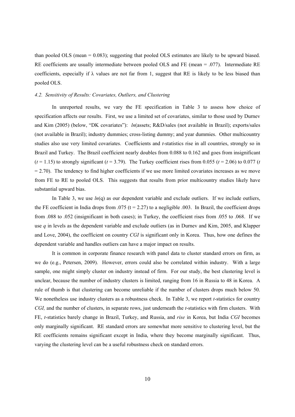than pooled OLS (mean = 0.083); suggesting that pooled OLS estimates are likely to be upward biased. RE coefficients are usually intermediate between pooled OLS and FE (mean = .077). Intermediate RE coefficients, especially if  $\lambda$  values are not far from 1, suggest that RE is likely to be less biased than pooled OLS.

#### *4.2. Sensitivity of Results: Covariates, Outliers, and Clustering*

In unreported results, we vary the FE specification in Table 3 to assess how choice of specification affects our results. First, we use a limited set of covariates, similar to those used by Durnev and Kim (2005) (below, "DK covariates"): *ln*(assets; R&D/sales (not available in Brazil); exports/sales (not available in Brazil); industry dummies; cross-listing dummy; and year dummies. Other multicountry studies also use very limited covariates. Coefficients and *t*-statistics rise in all countries, strongly so in Brazil and Turkey. The Brazil coefficient nearly doubles from 0.088 to 0.162 and goes from insignificant  $(t = 1.15)$  to strongly significant  $(t = 3.79)$ . The Turkey coefficient rises from 0.055  $(t = 2.06)$  to 0.077  $(t = 1.15)$  $= 2.70$ ). The tendency to find higher coefficients if we use more limited covariates increases as we move from FE to RE to pooled OLS. This suggests that results from prior multicountry studies likely have substantial upward bias.

In Table 3, we use  $ln(q)$  as our dependent variable and exclude outliers. If we include outliers, the FE coefficient in India drops from .075 ( $t = 2.27$ ) to a negligible .003. In Brazil, the coefficient drops from .088 to .052 (insignificant in both cases); in Turkey, the coefficient rises from .055 to .068. If we use *q* in levels as the dependent variable and exclude outliers (as in Durnev and Kim, 2005, and Klapper and Love, 2004), the coefficient on country *CGI* is significant only in Korea. Thus, how one defines the dependent variable and handles outliers can have a major impact on results.

It is common in corporate finance research with panel data to cluster standard errors on firm, as we do (e.g., Petersen, 2009). However, errors could also be correlated within industry. With a large sample, one might simply cluster on industry instead of firm. For our study, the best clustering level is unclear, because the number of industry clusters is limited, ranging from 16 in Russia to 48 in Korea. A rule of thumb is that clustering can become unreliable if the number of clusters drops much below 50. We nonetheless use industry clusters as a robustness check. In Table 3, we report *t*-statistics for country *CGI,* and the number of clusters, in separate rows, just underneath the *t*-statistics with firm clusters. With FE, *t*-statistics barely change in Brazil, Turkey, and Russia, and *rise* in Korea, but India *CGI* becomes only marginally significant. RE standard errors are somewhat more sensitive to clustering level, but the RE coefficients remains significant except in India, where they become marginally significant. Thus, varying the clustering level can be a useful robustness check on standard errors.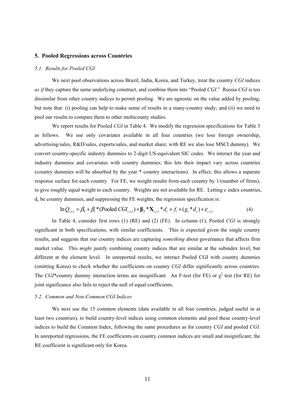#### **5. Pooled Regressions across Countries**

#### *5.1. Results for Pooled CGI*

We next pool observations across Brazil, India, Korea, and Turkey, treat the country *CGI* indices *as if* they capture the same underlying construct, and combine them into "Pooled *CGI.*" Russia *CGI* is too dissimilar from other country indices to permit pooling. We are agnostic on the value added by pooling, but note that: (i) pooling can help to make sense of results in a many-country study; and (ii) we need to pool our results to compare them to other multicounty studies.

We report results for Pooled *CGI* in Table 4. We modify the regression specifications for Table 3 as follows. We use only covariates available in all four countries (we lose foreign ownership, advertising/sales, R&D/sales, exports/sales, and market share; with RE we also lose MSCI dummy). We convert country-specific industry dummies to 2-digit US-equivalent SIC codes. We interact the year and industry dummies and covariates with country dummies; this lets their impact vary across countries (country dummies will be absorbed by the year \* country interactions). In effect, this allows a separate response surface for each country. For FE, we weight results from each country by 1/(number of firms), to give roughly equal weight to each country. Weights are not available for RE. Letting c index countries,  $d_c$  be country dummies, and suppressing the FE weights, the regression specification is:

$$
\ln Q_{c,i,t} = \beta_0 + \beta_1 * (\text{Pooled } CGI_{c,i,t}) + \beta_2 * X_{c,i,t} * d_c + f_i + (g_i * d_c) + \varepsilon_{c,i,t}
$$
(4)

In Table 4, consider first rows (1) (RE) and (2) (FE). In column (1), Pooled *CGI* is strongly significant in both specifications, with similar coefficients. This is expected given the single country results, and suggests that our country indices are capturing *something* about governance that affects firm market value. This *might* justify combining country indices that are similar at the subindex level, but different at the element level. In unreported results, we interact Pooled CGI with country dummies (omitting Korea) to check whether the coefficients on country *CGI* differ significantly across countries. The *CGI*\*country dummy interaction terms are insignificant. An F-test (for FE) or  $\chi^2$  test (for RE) for joint significance also fails to reject the null of equal coefficients.

#### *5.2. Common and Non-Common CGI Indices*

We next use the 15 common elements (data available in all four countries, judged useful in at least two countries), to build country-level indices using common elements and pool these country-level indices to build the Common Index, following the same procedures as for country *CGI* and pooled *CGI*. In unreported regressions, the FE coefficients on country common indices are small and insignificant; the RE coefficient is significant only for Korea.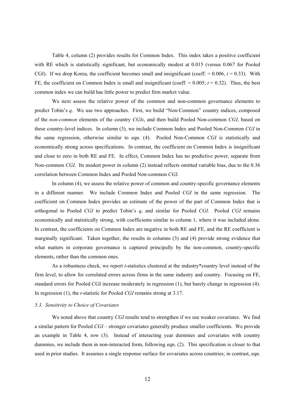Table 4, column (2) provides results for Common Index. This index takes a positive coefficient with RE which is statistically significant, but economically modest at 0.015 (versus 0.067 for Pooled CGI). If we drop Korea, the coefficient becomes small and insignificant (coeff.  $= 0.006$ ,  $t = 0.33$ ). With FE, the coefficient on Common Index is small and insignificant (coeff.  $= 0.005$ ;  $t = 0.32$ ). Thus, the best common index we can build has little power to predict firm market value.

We next assess the relative power of the common and non-common governance elements to predict Tobin's *q*. We use two approaches. First, we build "Non-Common" country indices, composed of the *non-common* elements of the country *CGIs*, and then build Pooled Non-common *CGI*, based on these country-level indices. In column (3), we include Common Index and Pooled Non-Common *CGI* in the same regression, otherwise similar to eqn. (4). Pooled Non-Common *CGI* is statistically and economically strong across specifications. In contrast, the coefficient on Common Index is insignificant and close to zero in both RE and FE. In effect, Common Index has no predictive power, separate from Non-common *CGI*. Its modest power in column (2) instead reflects omitted variable bias, due to the 0.36 correlation between Common Index and Pooled Non-common *CGI*.

In column (4), we assess the relative power of common and country-specific governance elements in a different manner. We include Common Index and Pooled *CGI* in the same regression. The coefficient on Common Index provides an estimate of the power of the part of Common Index that is orthogonal to Pooled *CGI* to predict Tobin's *q*, and similar for Pooled *CGI*. Pooled *CGI* remains economically and statistically strong, with coefficients similar to column 1, where it was included alone. In contrast, the coefficients on Common Index are negative in both RE and FE, and the RE coefficient is marginally significant. Taken together, the results in columns (3) and (4) provide strong evidence that what matters in corporate governance is captured principally by the non-common, country-specific elements, rather than the common ones.

As a robustness check, we report *t*-statistics clustered at the industry\*country level instead of the firm level, to allow for correlated errors across firms in the same industry and country. Focusing on FE, standard errors for Pooled CGI increase moderately in regression (1), but barely change in regression (4). In regression (1), the *t*-statistic for Pooled *CGI* remains strong at 3.17.

#### *5.3. Sensitivity to Choice of Covariates*

We noted above that country *CGI* results tend to strengthen if we use weaker covariates. We find a similar pattern for Pooled *CGI* – stronger covariates generally produce smaller coefficients. We provide an example in Table 4, row (3). Instead of interacting year dummies and covariates with country dummies, we include them in non-interacted form, following eqn. (2). This specification is closer to that used in prior studies. It assumes a single response surface for covariates across countries; in contrast, eqn.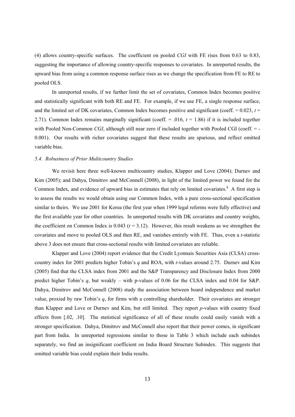(4) allows country-specific surfaces. The coefficient on pooled *CGI* with FE rises from 0.63 to 0.83, suggesting the importance of allowing country-specific responses to covariates. In unreported results, the upward bias from using a common response surface rises as we change the specification from FE to RE to pooled OLS.

In unreported results, if we further limit the set of covariates, Common Index becomes positive and statistically significant with both RE and FE. For example, if we use FE, a single response surface, and the limited set of DK covariates, Common Index becomes positive and significant (coeff.  $= 0.023$ ,  $t =$ 2.71). Common Index remains marginally significant (coeff.  $= .016$ ,  $t = 1.86$ ) if it is included together with Pooled Non-Common *CGI*, although still near zero if included together with Pooled CGI (coeff. = -0.001). Our results with richer covariates suggest that these results are spurious, and reflect omitted variable bias.

#### *5.4. Robustness of Prior Multicountry Studies*

We revisit here three well-known multicountry studies, Klapper and Love (2004); Durnev and Kim (2005); and Dahya, Dimitrov and McConnell (2008), in light of the limited power we found for the Common Index, and evidence of upward bias in estimates that rely on limited covariates.<sup>8</sup> A first step is to assess the results we would obtain using our Common Index, with a pure cross-sectional specification similar to theirs. We use 2001 for Korea (the first year when 1999 legal reforms were fully effective) and the first available year for other countries. In unreported results with DK covariates and country weights, the coefficient on Common Index is  $0.043$  ( $t = 3.12$ ). However, this result weakens as we strengthen the covariates and move to pooled OLS and then RE, and vanishes entirely with FE. Thus, even a *t*-statistic above 3 does not ensure that cross-sectional results with limited covariates are reliable.

Klapper and Love (2004) report evidence that the Credit Lyonnais Securities Asia (CLSA) crosscountry index for 2001 predicts higher Tobin's *q* and ROA, with *t*-values around 2.75. Durnev and Kim (2005) find that the CLSA index from 2001 and the S&P Transparency and Disclosure Index from 2000 predict higher Tobin's *q*, but weakly – with p-values of 0.06 for the CLSA index and 0.04 for S&P. Dahya, Dimitrov and McConnell (2008) study the association between board independence and market value, proxied by raw Tobin's *q*, for firms with a controlling shareholder. Their covariates are stronger than Klapper and Love or Durnev and Kim, but still limited. They report *p*-values with country fixed effects from [.02, .10]. The statistical significance of all of these results could easily vanish with a stronger specification. Dahya, Dimitrov and McConnell also report that their power comes, in significant part from India. In unreported regressions similar to those in Table 3 which include each subindex separately, we find an insignificant coefficient on India Board Structure Subindex. This suggests that omitted variable bias could explain their India results.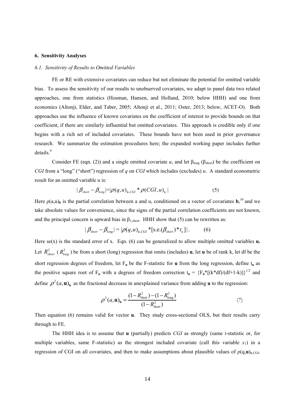#### **6. Sensitivity Analyses**

#### *6.1. Sensitivity of Results to Omitted Variables*

FE or RE with extensive covariates can reduce but not eliminate the potential for omitted variable bias. To assess the sensitivity of our results to unobserved covariates, we adapt to panel data two related approaches, one from statistics (Hosman, Hansen, and Holland, 2010; below HHH) and one from economics (Altonji, Elder, and Taber, 2005; Altonji et al., 2011; Oster, 2013; below, ACET-O). Both approaches use the influence of known covariates on the coefficient of interest to provide bounds on that coefficient, if there are similarly influential but omitted covariates. This approach is credible only if one begins with a rich set of included covariates. These bounds have not been used in prior governance research. We summarize the estimation procedures here; the expanded working paper includes further details.<sup>9</sup>

Consider FE (eqn. (2)) and a single omitted covariate *u*, and let  $\beta_{\text{long}}$  ( $\beta_{\text{short}}$ ) be the coefficient on *CGI* from a "long" ("short") regression of *q* on *CGI* which includes (excludes) *u*. A standard econometric result for an omitted variable u is:

$$
|\beta_{\text{short}} - \beta_{\text{long}}| = |\rho(q, u)_{x, \text{CGI}} * \rho(CGI, u)_x|
$$
 (5)

Here  $p(a,u)$ <sub>b</sub> is the partial correlation between a and u, conditioned on a vector of covariates  $b$ , <sup>10</sup> and we take absolute values for convenience, since the signs of the partial correlation coefficients are not known, and the principal concern is upward bias in  $\beta_{1, \text{short}}$ . HHH show that (5) can be rewritten as:

$$
|\beta_{\text{short}} - \beta_{\text{long}}| = |\rho(q, u)_{x, \text{CGI}} * [\text{s.e.}(\beta_{\text{short}}) * t_u]|. \tag{6}
$$

Here  $se(x)$  is the standard error of x. Eqn. (6) can be generalized to allow multiple omitted variables  $u$ . Let  $R_{short}^2$  ( $R_{long}^2$ ) be from a short (long) regression that omits (includes) **u**, let **u** be of rank k, let df be the short regression degrees of freedom, let  $F_u$  be the F-statistic for **u** from the long regression, define  $t_u$  as the positive square root of F<sub>u</sub> with a degrees of freedom correction  $t_u = {F_u * [(k * df)/(df+1-k)]}^{1/2}$  and define  $\rho^2(a, \mathbf{u})$ <sub>b</sub> as the fractional decrease in unexplained variance from adding **u** to the regression:

$$
\rho^{2}(a, \mathbf{u})_{\mathbf{b}} = \frac{(1 - R_{\text{short}}^{2}) - (1 - R_{\text{long}}^{2})}{(1 - R_{\text{short}}^{2})}
$$
(7)

Then equation (6) remains valid for vector **u**. They study cross-sectional OLS, but their results carry through to FE.

The HHH idea is to assume that **u** (partially) predicts *CGI* as strongly (same *t*-statistic or, for multiple variables, same F-statistic) as the strongest included covariate (call this variable  $x_1$ ) in a regression of CGI on all covariates, and then to make assumptions about plausible values of  $\rho(\mathbf{q},\mathbf{u})_{\mathbf{x} \in \text{GI}}$ .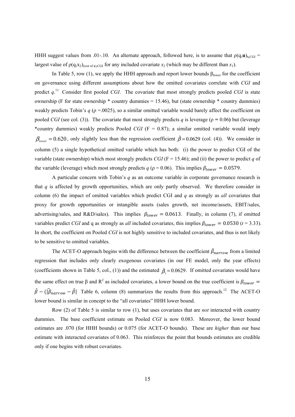HHH suggest values from .01-.10. An alternate approach, followed here, is to assume that  $\rho(q, \mathbf{u})_{x, \text{CGI}} =$ largest value of  $\rho(q, x_2)_{\text{(rest of x)}.CGI}$  for any included covariate  $x_2$  (which may be different than  $x_1$ ).

In Table 5, row (1), we apply the HHH approach and report lower bounds  $\beta_{\text{lower}}$  for the coefficient on governance using different assumptions about how the omitted covariates correlate with *CGI* and predict *q*. <sup>11</sup> Consider first pooled *CGI*. The covariate that most strongly predicts pooled *CGI* is state ownership (F for state ownership  $*$  country dummies = 15.46), but (state ownership  $*$  country dummies) weakly predicts Tobin's *q* (ρ =.0025), so a similar omitted variable would barely affect the coefficient on pooled *CGI* (see col. (3)). The covariate that most strongly predicts *q* is leverage ( $\rho = 0.06$ ) but (leverage \*country dummies) weakly predicts Pooled *CGI* (F = 0.87); a similar omitted variable would imply  $\beta_{lower} = 0.620$ , only slightly less than the regression coefficient  $\hat{\beta} = 0.0629$  (col. (4)). We consider in column (5) a single hypothetical omitted variable which has both: (i) the power to predict CGI of the variable (state ownership) which most strongly predicts *CGI* ( $F = 15.46$ ); and (ii) the power to predict *q* of the variable (leverage) which most strongly predicts *q* ( $\rho = 0.06$ ). This implies  $\beta_{lower} = 0.0579$ .

A particular concern with Tobin's *q* as an outcome variable in corporate governance research is that  $q$  is affected by growth opportunities, which are only partly observed. We therefore consider in column (6) the impact of omitted variables which predict CGI and *q* as strongly as *all* covariates that proxy for growth opportunities or intangible assets (sales growth, net income/assets, EBIT/sales, advertising/sales, and R&D/sales). This implies  $\beta_{lower} = 0.0613$ . Finally, in column (7), if omitted variables predict *CGI* and q as strongly as *all* included covariates, this implies  $\beta_{lower} = 0.0530$  ( $t = 3.33$ ). In short, the coefficient on Pooled *CGI* is not highly sensitive to included covariates, and thus is not likely to be sensitive to omitted variables.

The ACET-O approach begins with the difference between the coefficient  $\beta_{narrow}$  from a limited regression that includes only clearly exogenous covariates (in our FE model, only the year effects) (coefficients shown in Table 5, col., (1)) and the estimated  $\hat{\beta}_1 = 0.0629$ . If omitted covariates would have the same effect on true  $\beta$  and  $R^2$  as included covariates, a lower bound on the true coefficient is  $\beta_{lower}$  $\hat{\beta}$  – ( $[\hat{\beta}_{narrow} - \hat{\beta}]$  Table 6, column (8) summarizes the results from this approach.<sup>12</sup> The ACET-O lower bound is similar in concept to the "all covariates" HHH lower bound.

Row (2) of Table 5 is similar to row (1), but uses covariates that are *not* interacted with country dummies. The base coefficient estimate on Pooled *CGI* is now 0.083. Moreover, the lower bound estimates are .070 (for HHH bounds) or 0.075 (for ACET-O bounds). These are *higher* than our base estimate with interacted covariates of 0.063. This reinforces the point that bounds estimates are credible only if one begins with robust covariates.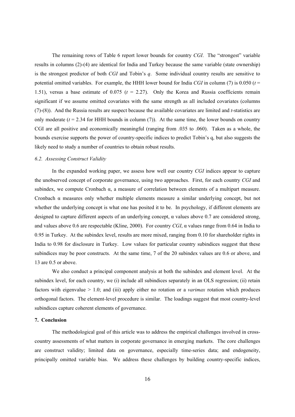The remaining rows of Table 6 report lower bounds for country *CGI*. The "strongest" variable results in columns (2)-(4) are identical for India and Turkey because the same variable (state ownership) is the strongest predictor of both *CGI* and Tobin's *q*. Some individual country results are sensitive to potential omitted variables. For example, the HHH lower bound for India *CGI* in column (7) is 0.050 (*t* = 1.51), versus a base estimate of 0.075 (*t* = 2.27). Only the Korea and Russia coefficients remain significant if we assume omitted covariates with the same strength as all included covariates (columns (7)-(8)). And the Russia results are suspect because the available covariates are limited and *t*-statistics are only moderate  $(t = 2.34$  for HHH bounds in column (7)). At the same time, the lower bounds on country CGI are all positive and economically meaningful (ranging from .035 to .060). Taken as a whole, the bounds exercise supports the power of country-specific indices to predict Tobin's q, but also suggests the likely need to study a number of countries to obtain robust results.

#### *6.2. Assessing Construct Validity*

In the expanded working paper, we assess how well our country *CGI* indices appear to capture the unobserved concept of corporate governance, using two approaches. First, for each country *CGI* and subindex, we compute Cronbach  $\alpha$ , a measure of correlation between elements of a multipart measure. Cronbach  $\alpha$  measures only whether multiple elements measure a similar underlying concept, but not whether the underlying concept is what one has posited it to be. In psychology, if different elements are designed to capture different aspects of an underlying concept, α values above 0.7 are considered strong, and values above 0.6 are respectable (Kline, 2000). For country *CGI*, α values range from 0.64 in India to 0.95 in Turkey. At the subindex level, results are more mixed, ranging from 0.10 for shareholder rights in India to 0.98 for disclosure in Turkey. Low values for particular country subindices suggest that these subindices may be poor constructs. At the same time, 7 of the 20 subindex values are 0.6 or above, and 13 are 0.5 or above.

We also conduct a principal component analysis at both the subindex and element level. At the subindex level, for each country, we (i) include all subindices separately in an OLS regression; (ii) retain factors with eigenvalue > 1.0; and (iii) apply either no rotation or a *varimax* rotation which produces orthogonal factors. The element-level procedure is similar. The loadings suggest that most country-level subindices capture coherent elements of governance.

#### **7. Conclusion**

The methodological goal of this article was to address the empirical challenges involved in crosscountry assessments of what matters in corporate governance in emerging markets. The core challenges are construct validity; limited data on governance, especially time-series data; and endogeneity, principally omitted variable bias. We address these challenges by building country-specific indices,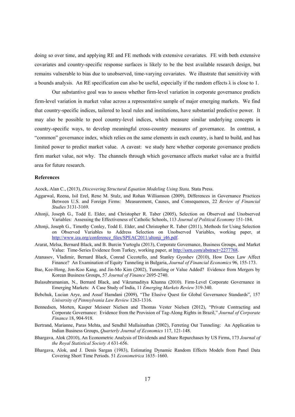doing so over time, and applying RE and FE methods with extensive covariates. FE with both extensive covariates and country-specific response surfaces is likely to be the best available research design, but remains vulnerable to bias due to unobserved, time-varying covariates. We illustrate that sensitivity with a bounds analysis. An RE specification can also be useful, especially if the random effects  $\lambda$  is close to 1.

Our substantive goal was to assess whether firm-level variation in corporate governance predicts firm-level variation in market value across a representative sample of major emerging markets. We find that country-specific indices, tailored to local rules and institutions, have substantial predictive power. It may also be possible to pool country-level indices, which measure similar underlying concepts in country-specific ways, to develop meaningful cross-country measures of governance. In contrast, a "common" governance index, which relies on the same elements in each country, is hard to build, and has limited power to predict market value. A caveat: we study here whether corporate governance predicts firm market value, not why. The channels through which governance affects market value are a fruitful area for future research.

#### **References**

Acock, Alan C., (2013), *Discovering Structural Equation Modeling Using Stata,* Stata Press.

- Aggarwal, Reena, Isil Erel, Rene M. Stulz, and Rohan Williamson (2009), Differences in Governance Practices Between U.S. and Foreign Firms: Measurement, Causes, and Consequences, 22 *Review of Financial Studies* 3131-3169.
- Altonji, Joseph G., Todd E. Elder, and Christopher R. Taber (2005), Selection on Observed and Unobserved Variables: Assessing the Effectiveness of Catholic Schools, 113 *Journal of Political Economy* 151-184.
- Altonji, Joseph G., Timothy Conley, Todd E. Elder, and Christopher R. Taber (2011), Methods for Using Selection on Observed Variables to Address Selection on Unobserved Variables, working paper, at http://www.iza.org/conference\_files/SPEAC2011/altonji\_j46.pdf.
- Ararat, Melsa, Bernard Black, and B. Burcin Yurtoglu (2013), Corporate Governance, Business Groups, and Market Value: Time-Series Evidence from Turkey, working paper, at http://ssrn.com/abstract=2277768.
- Atanasov, Vladimir, Bernard Black, Conrad Ciccotello, and Stanley Gyoshev (2010), How Does Law Affect Finance? An Examination of Equity Tunneling in Bulgaria, *Journal of Financial Economics* 96, 155-173.
- Bae, Kee-Hong, Jon-Koo Kang, and Jin-Mo Kim (2002), Tunneling or Value Added? Evidence from Mergers by Korean Business Groups, 57 *Journal of Finance* 2695-2740.
- Balasubramanian, N., Bernard Black, and Vikramaditya Khanna (2010). Firm-Level Corporate Governance in Emerging Markets: A Case Study of India, 11 *Emerging Markets Review* 319-340.
- Bebchuk, Lucian Arye, and Assaf Hamdani (2009), "The Elusive Quest for Global Governance Standards", 157 *University of Pennsylvania Law Review* 1263-1316.
- Bennedsen, Morten, Kasper Meisner Nielsen and Thomas Vester Nielsen (2012), "Private Contracting and Corporate Governance: Evidence from the Provision of Tag-Along Rights in Brazil," *Journal of Corporate Finance* 18, 904-918.
- Bertrand, Marianne, Paras Mehta, and Sendhil Mullainathan (2002), Ferreting Out Tunneling: An Application to Indian Business Groups, *Quarterly Journal of Economics* 117, 121-148.
- Bhargava, Alok (2010), An Econometric Analysis of Dividends and Share Repurchases by US Firms, 173 *Journal of the Royal Statistical Society A* 631-656.
- Bhargava, Alok, and J. Denis Sargan (1983), Estimating Dynamic Random Effects Models from Panel Data Covering Short Time Periods. 51 *Econometrica* 1635–1660.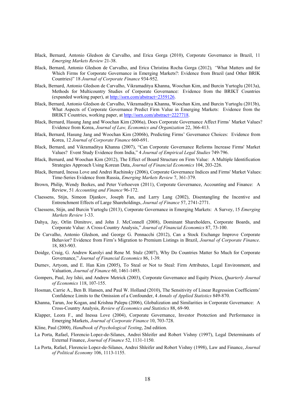- Black, Bernard, Antonio Gledson de Carvalho, and Erica Gorga (2010), Corporate Governance in Brazil, 11 *Emerging Markets Review* 21-38.
- Black, Bernard, Antonio Gledson de Carvalho, and Erica Christina Rocha Gorga (2012)*, "*What Matters and for Which Firms for Corporate Governance in Emerging Markets?: Evidence from Brazil (and Other BRIK Countries)" 18 *Journal of Corporate Finance* 934-952.
- Black, Bernard, Antonio Gledson de Carvalho, Vikramaditya Khanna, Woochan Kim, and Burcin Yurtoglu (2013a), Methods for Multicountry Studies of Corporate Governance: Evidence from the BRIKT Countries (expanded working paper), at http://ssrn.com/abstract=2359126.
- Black, Bernard, Antonio Gledson de Carvalho, Vikramaditya Khanna, Woochan Kim, and Burcin Yurtoglu (2013b), What Aspects of Corporate Governance Predict Firm Value in Emerging Markets: Evidence from the BRIKT Countries, working paper, at http://ssrn.com/abstract=2227718.
- Black, Bernard, Hasung Jang and Woochan Kim (2006a), Does Corporate Governance Affect Firms' Market Values? Evidence from Korea, *Journal of Law, Economics and Organization* 22, 366-413.
- Black, Bernard, Hasung Jang and Woochan Kim (2006b), Predicting Firms' Governance Choices: Evidence from Korea, 12 *Journal of Corporate Finance* 660-691.
- Black, Bernard, and Vikramaditya Khanna (2007), "Can Corporate Governance Reforms Increase Firms' Market Values? Event Study Evidence from India," 4 *Journal of Empirical Legal Studies* 749-796.
- Black, Bernard, and Woochan Kim (2012), The Effect of Board Structure on Firm Value: A Multiple Identification Strategies Approach Using Korean Data, *Journal of Financial Economics* 104, 203-226.
- Black, Bernard, Inessa Love and Andrei Rachinsky (2006), Corporate Governance Indices and Firms' Market Values: Time-Series Evidence from Russia, *Emerging Markets Review* 7, 361-379.
- Brown, Philip, Wendy Beekes, and Peter Verhoeven (2011), Corporate Governance, Accounting and Finance: A Review, 51 *Accounting and Finance* 96-172.
- Claessens, Stijn, Simeon Djankov, Joseph Fan, and Larry Lang (2002), Disentangling the Incentive and Entrenchment Effects of Large Shareholdings, *Journal of Finance* 57, 2741-2771.
- Claessens, Stijn, and Burcin Yurtoglu (2013), Corporate Governance in Emerging Markets: A Survey, 15 *Emerging Markets Review* 1-33.
- Dahya, Jay, Orlin Dimitrov, and John J. McConnell (2008), Dominant Shareholders, Corporate Boards, and Corporate Value: A Cross-Country Analysis," *Journal of Financial Economics* 87, 73-100.
- De Carvalho, Antonio Gledson, and George G. Pennacchi (2012), Can a Stock Exchange Improve Corporate Behavior? Evidence from Firm's Migration to Premium Listings in Brazil, *Journal of Corporate Finance*. 18, 883-903.
- Doidge, Craig, G. Andrew Karolyi and Rene M. Stulz (2007), Why Do Countries Matter So Much for Corporate Governance," *Journal of Financial Economics* 86, 1-39.
- Durnev, Artyom, and E. Han Kim (2005), To Steal or Not to Steal: Firm Attributes, Legal Environment, and Valuation, *Journal of Finance* 60, 1461-1493.
- Gompers, Paul, Joy Ishii, and Andrew Metrick (2003), Corporate Governance and Equity Prices, *Quarterly Journal of Economics* 118, 107-155.
- Hosman, Carrie A., Ben B. Hansen, and Paul W. Holland (2010), The Sensitivity of Linear Regression Coefficients' Confidence Limits to the Omission of a Confounder, 4 *Annals of Applied Statistics* 849-870.
- Khanna, Tarun, Joe Kogan, and Krishna Palepu (2006), Globalization and Similarities in Corporate Governance: A Cross-Country Analysis, *Review of Economics and Statistics* 88, 69-90.
- Klapper, Leora F., and Inessa Love (2004), Corporate Governance, Investor Protection and Performance in Emerging Markets, *Journal of Corporate Finance* 10, 703-728.
- Kline, Paul (2000), *Handbook of Psychological Testing*, 2nd edition.
- La Porta, Rafael, Florencio Lopez-de-Silanes, Andrei Shleifer and Robert Vishny (1997), Legal Determinants of External Finance, *Journal of Finance* 52, 1131-1150.
- La Porta, Rafael, Florencio Lopez-de-Silanes, Andrei Shleifer and Robert Vishny (1998), Law and Finance, *Journal of Political Economy* 106, 1113-1155.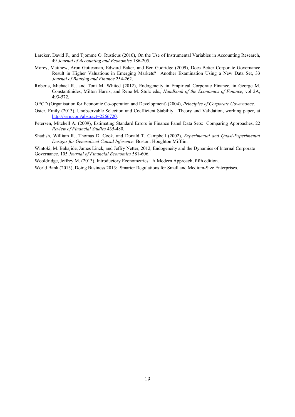- Larcker, David F., and Tjomme O. Rusticus (2010), On the Use of Instrumental Variables in Accounting Research, 49 *Journal of Accounting and Economics* 186-205.
- Morey, Matthew, Aron Gottesman, Edward Baker, and Ben Godridge (2009), Does Better Corporate Governance Result in Higher Valuations in Emerging Markets? Another Examination Using a New Data Set, 33 *Journal of Banking and Finance* 254-262.
- Roberts, Michael R., and Toni M. Whited (2012), Endogeneity in Empirical Corporate Finance, in George M. Constantinides, Milton Harris, and Rene M. Stulz eds., *Handbook of the Economics of Finance*, vol 2A, 493-572.
- OECD (Organisation for Economic Co-operation and Development) (2004), *Principles of Corporate Governance*.
- Oster, Emily (2013), Unobservable Selection and Coefficient Stability: Theory and Validation, working paper, at http://ssrn.com/abstract=2266720.
- Petersen, Mitchell A. (2009), Estimating Standard Errors in Finance Panel Data Sets: Comparing Approaches, 22 *Review of Financial Studies* 435-480.
- Shadish, William R., Thomas D. Cook, and Donald T. Campbell (2002), *Experimental and Quasi-Experimental Designs for Generalized Causal Inference*. Boston: Houghton Mifflin.

Wintoki, M. Babajide, James Linck, and Jeffry Netter, 2012, Endogeneity and the Dynamics of Internal Corporate Governance, 105 *Journal of Financial Economics* 581-606.

Wooldridge, Jeffrey M. (2013), Introductory Econometrics: A Modern Approach, fifth edition.

World Bank (2013), Doing Business 2013: Smarter Regulations for Small and Medium-Size Enterprises.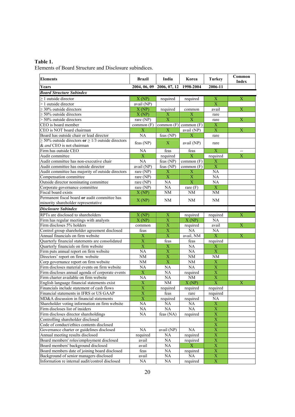## **Table 1.**

Elements of Board Structure and Disclosure subindices.

| <b>Elements</b>                                              | <b>Brazil</b>             | India                   | Korea                     | <b>Turkey</b>             | Common<br><b>Index</b>    |
|--------------------------------------------------------------|---------------------------|-------------------------|---------------------------|---------------------------|---------------------------|
| Years                                                        | 2004, 06, 09 2006, 07, 12 |                         | 1998-2004                 | 2006-11                   |                           |
| <b>Board Structure Subindex</b>                              |                           |                         |                           |                           |                           |
| $>1$ outside director                                        | X(NP)                     | required                | required                  | $\mathbf X$               | X                         |
| $>1$ outside director                                        | avail (NP)                |                         |                           | $\overline{X}$            |                           |
| $\geq$ 30% outside directors                                 | X(NP)                     | required                | common                    | avail                     | X                         |
| ≥ 50% outside directors                                      | X(NP)                     | Χ                       | X                         | rare                      |                           |
| > 50% outside directors                                      | rare (NP)                 | $\overline{\text{X}}$   | $\overline{\mathbf{X}}$   | rare                      | $\overline{X}$            |
| CEO is board member                                          | common $(F)$              |                         | common $(F)$ common $(F)$ | $\mathbf X$               |                           |
| CEO is NOT board chairman                                    | X                         | $\overline{X}$          | $\overline{avail}$ (NP)   | $\mathbf X$               | $\mathbf X$               |
| Board has outside chair or lead director                     | NA                        | feas $(NP)$             | Х                         | rare                      |                           |
| $\geq$ 50% outside directors or $\geq$ 1/3 outside directors |                           |                         |                           |                           |                           |
| & and CEO is not chairman                                    | feas $(NP)$               | $\mathbf{X}$            | avail (NP)                | rare                      |                           |
| Firm has outside CEO                                         | <b>NA</b>                 | feas                    | feas                      | $\boldsymbol{\mathrm{X}}$ | $\overline{\phantom{a}}$  |
| Audit committee                                              | $\mathbf X$               | required                | $\mathbf X$               | required                  | $\mathbf X$               |
| Audit committee has non-executive chair                      | <b>NA</b>                 | feas $(NP)$             | common $(F)$              | $\boldsymbol{\mathrm{X}}$ |                           |
| Audit committee has outside director                         | avail (NP)                | feas $(NP)$             | common $(F)$              | $\overline{X}$            |                           |
| Audit committee has majority of outside directors            | rare $(NP)$               | $\mathbf X$             | $\mathbf X$               | NA                        |                           |
| Compensation committee                                       | rare $(NP)$               | $\overline{\textbf{X}}$ | $\overline{\textbf{X}}$   | <b>NA</b>                 |                           |
| Outside director nominating committee                        | rare $(NP)$               | <b>NA</b>               | $\overline{X}$            | NA                        |                           |
| Corporate governance committee                               | rare $(NP)$               | <b>NA</b>               | rare $(F)$                | $\overline{X}$            |                           |
| Fiscal board exists                                          | X(NP)                     | $\rm{NM}$               | <b>NM</b>                 | NM                        |                           |
| Permanent fiscal board or audit committee has                |                           |                         |                           |                           |                           |
| minority shareholder representative                          | X(NP)                     | NΜ                      | NΜ                        | NM                        |                           |
| <b>Disclosure Subindex</b>                                   |                           |                         |                           |                           |                           |
| RPTs are disclosed to shareholders                           | X(NP)                     | X                       |                           |                           | $\overline{\textbf{X}}$   |
| Firm has regular meetings with analysts                      | X(NP)                     | $\overline{\mathbf{X}}$ | required<br>X(NP)         | required<br>NA            |                           |
| Firm discloses 5% holders                                    | common                    | $\mathbf X$             | required                  | avail                     | X                         |
| Control group shareholder agreement disclosed                | feas                      | $\mathbf X$             | NA                        | NA                        |                           |
| Annual financials on firm website                            | X                         | $\overline{\mathbf{X}}$ | avail, NM                 | X                         | X                         |
| Quarterly financial statements are consolidated              | $\overline{\mathbf{X}}$   | feas                    | feas                      | required                  |                           |
| Quarterly financials on firm website                         | $\overline{\mathbf{X}}$   | $\mathbf X$             | NA                        | $\mathbf X$               |                           |
| Firm puts annual report on firm website                      | NA                        | $\mathbf X$             | NA                        | $\overline{\text{X}}$     |                           |
| Directors' report on firm website                            | NM                        | $\overline{\text{X}}$   | NM                        | <b>NM</b>                 |                           |
| Corp governance report on firm website                       | <b>NM</b>                 | $\overline{\text{X}}$   | NM                        | $\mathbf X$               |                           |
| Firm discloses material events on firm website               | <b>NA</b>                 | <b>NA</b>               | NA                        | $\overline{\textbf{X}}$   |                           |
| Firm discloses annual agenda of corporate events             | $\mathbf X$               | NA                      | required                  | $\mathbf X$               |                           |
| Firm charter available on firm website                       | <b>NA</b>                 | <b>NA</b>               | <b>NM</b>                 | $\overline{\textbf{X}}$   |                           |
| English language financial statements exist                  | $\mathbf X$               | <b>NM</b>               | X(NP)                     | $\overline{\text{X}}$     | $\boldsymbol{\mathrm{X}}$ |
| Financials include statement of cash flows                   | $\overline{\textbf{X}}$   | required                | required                  | required                  |                           |
| Financial statements in IFRS or US GAAP                      | $\overline{\text{X}}$     | feas                    | rare                      | required                  |                           |
| MD&A discussion in financial statements                      | $\mathbf X$               | required                | required                  | NA                        |                           |
| Shareholder voting information on firm website               | NA                        | NA                      | NA                        | $\boldsymbol{\mathrm{X}}$ |                           |
| Firm discloses list of insiders                              | NA                        | <b>NA</b>               | <b>NA</b>                 | $\overline{\textbf{X}}$   |                           |
| Firm discloses director shareholdings                        | NA                        | feas (NA)               | required                  | $\mathbf X$               |                           |
| Controlling shareholder disclosed                            |                           |                         |                           | $\mathbf X$               |                           |
| Code of conduct/ethics contents disclosed                    |                           |                         |                           | $\overline{\mathbf{X}}$   |                           |
| Governance charter or guidelines disclosed                   | NA                        | avail (NP)              | NA                        | $\overline{\textbf{X}}$   |                           |
| Annual meeting results disclosed                             | required                  | NA                      | required                  | $\overline{\textbf{X}}$   |                           |
| Board members' roles/employment disclosed                    | avail                     | $\rm NA$                | required                  | $\overline{\textbf{X}}$   |                           |
| Board members' background disclosed                          | avail                     | $\rm NA$                | X                         | $\overline{\mathbf{X}}$   |                           |
| Board members date of joining board disclosed                | feas                      | $\rm NA$                | required                  | $\overline{\textbf{X}}$   |                           |
| Background of senior managers disclosed                      | avail                     | NA                      | $\overline{NA}$           | $\overline{\textbf{X}}$   |                           |
| Information re internal audit/control disclosed              | <b>NA</b>                 | <b>NA</b>               | required                  | $\mathbf X$               |                           |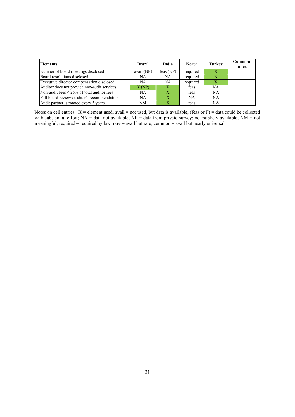| <b>Elements</b>                                 | Brazil     | India        | Korea    | <b>Turkey</b> | Common<br><b>Index</b> |
|-------------------------------------------------|------------|--------------|----------|---------------|------------------------|
| Number of board meetings disclosed              | avail (NP) | feas $(NP)$  | required | X             |                        |
| Board resolutions disclosed                     | NA         | NA           | required |               |                        |
| Executive director compensation disclosed       | NA         | <b>NA</b>    | required |               |                        |
| Auditor does not provide non-audit services     | X(NP)      | $\mathbf{X}$ | feas     | NA            |                        |
| Non-audit fees $\leq$ 25% of total auditor fees | NA         | $\mathbf x$  | feas     | <b>NA</b>     |                        |
| Full board reviews auditor's recommendations    | NA         | $\mathbf x$  | NA       | <b>NA</b>     |                        |
| Audit partner is rotated every 5 years          | NΜ         | X            | feas     | NA            |                        |

Notes on cell entries:  $X =$  element used; avail = not used, but data is available; (feas or F) = data could be collected with substantial effort;  $NA = data$  not available;  $NP = data$  from private survey; not publicly available;  $NM = not$ meaningful; required = required by law; rare = avail but rare; common = avail but nearly universal.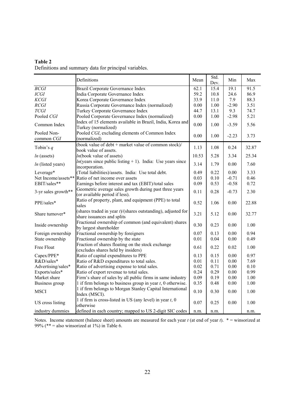| Table 2                                               |  |
|-------------------------------------------------------|--|
| Definitions and summary data for principal variables. |  |

|                          | Definitions                                                                                   | Mean  | Std.<br>Dev. | Min     | Max   |
|--------------------------|-----------------------------------------------------------------------------------------------|-------|--------------|---------|-------|
| BCGI                     | <b>Brazil Corporate Governance Index</b>                                                      | 62.1  | 15.4         | 19.1    | 91.5  |
| ICGI                     | India Corporate Governance Index                                                              | 59.2  | 10.8         | 24.6    | 86.9  |
| <b>KCGI</b>              | Korea Corporate Governance Index                                                              | 33.9  | 11.0         | 7.9     | 88.3  |
| RCGI                     | Russia Corporate Governance Index (normalized)                                                | 0.00  | 1.00         | $-2.90$ | 3.51  |
| <b>TCGI</b>              | Turkey Corporate Governance Index                                                             | 44.7  | 13.1         | 9.3     | 74.7  |
| Pooled CGI               | Pooled Corporate Governance Index (normalized)                                                | 0.00  | 1.00         | $-2.98$ | 5.21  |
| Common Index             | Index of 15 elements available in Brazil, India, Korea and<br>Turkey (normalized)             | 0.00  | 1.00         | $-3.59$ | 5.56  |
| Pooled Non-              | Pooled CGI, excluding elements of Common Index                                                |       |              |         |       |
| common CGI               | (normalized)                                                                                  | 0.00  | 1.00         | $-2.23$ | 3.73  |
| Tobin's $q$              | (book value of debt + market value of common stock)/<br>book value of assets.                 | 1.13  | 1.08         | 0.24    | 32.87 |
| $ln ($ assets $)$        | ln(book value of assets)                                                                      | 10.53 | 5.28         | 3.34    | 25.34 |
| <i>ln</i> (listed years) | $ln(year)$ since public listing + 1). India: Use years since<br>incorporation.                | 3.14  | 1.79         | 0.00    | 7.60  |
| Leverage*                | (Total liabilities)/assets. India: Use total debt.                                            | 0.49  | 0.22         | 0.00    | 3.33  |
| Net Income/assets**      | Ratio of net income over assets                                                               | 0.03  | 0.10         | $-0.71$ | 0.46  |
| EBIT/sales**             | Earnings before interest and tax (EBIT)/total sales                                           | 0.09  | 0.53         | $-0.58$ | 0.72  |
| 3-yr sales growth**      | Geometric average sales growth during past three years<br>(or available period if less).      | 0.11  | 0.28         | $-0.73$ | 2.30  |
| PPE/sales*               | Ratio of property, plant, and equipment (PPE) to total<br>sales                               | 0.52  | 1.06         | 0.00    | 22.88 |
| Share turnover*          | (shares traded in year $t$ )/(shares outstanding), adjusted for<br>share issuances and splits | 3.21  | 5.12         | 0.00    | 32.77 |
| Inside ownership         | Fractional ownership of common (and equivalent) shares<br>by largest shareholder              | 0.30  | 0.23         | 0.00    | 1.00  |
| Foreign ownership        | Fractional ownership by foreigners                                                            | 0.07  | 0.13         | 0.00    | 0.94  |
| State ownership          | Fractional ownership by the state                                                             | 0.01  | 0.04         | 0.00    | 0.49  |
| Free Float               | Fraction of shares floating on the stock exchange<br>(excludes shares held by insiders)       | 0.61  | 0.22         | 0.02    | 1.00  |
| Capex/PPE*               | Ratio of capital expenditures to PPE                                                          | 0.13  | 0.15         | 0.00    | 0.97  |
| R&D/sales*               | Ratio of R&D expenditures to total sales.                                                     | 0.01  | 0.11         | 0.00    | 7.69  |
| Advertising/sales*       | Ratio of advertising expense to total sales.                                                  | 0.02  | 0.71         | 0.00    | 0.10  |
| Exports/sales*           | Ratio of export revenue to total sales.                                                       | 0.24  | 0.29         | 0.00    | 0.99  |
| Market share             | Firm's share of sales by all public firms in same industry                                    | 0.09  | 0.19         | 0.00    | 1.00  |
| Business group           | 1 if firm belongs to business group in year $t$ , 0 otherwise.                                | 0.35  | 0.48         | 0.00    | 1.00  |
| <b>MSCI</b>              | 1 if firm belongs to Morgan Stanley Capital International<br>Index (MSCI).                    | 0.10  | 0.30         | 0.00    | 1.00  |
| US cross listing         | 1 if firm is cross-listed in US (any level) in year $t$ , 0<br>otherwise                      | 0.07  | 0.25         | 0.00    | 1.00  |
| industry dummies         | defined in each country; mapped to US 2-digit SIC codes                                       | n.m.  | n.m.         |         | n.m.  |

Notes. Income statement (balance sheet) amounts are measured for each year *t* (at end of year *t*). \* = winsorized at 99% (\*\* = also winsorized at 1%) in Table 6.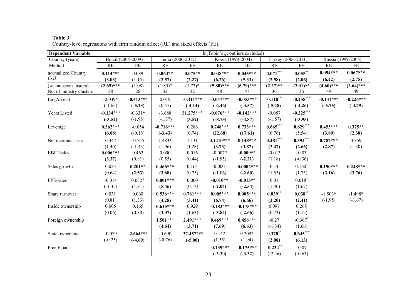| <b>Dependent Variable</b> | $ln(Tobin's q;$ outliers excluded) |                    |             |                       |              |                   |             |                    |                    |              |
|---------------------------|------------------------------------|--------------------|-------------|-----------------------|--------------|-------------------|-------------|--------------------|--------------------|--------------|
| Country (years)           |                                    | Brazil (2004-2009) |             | India $(2006 - 2012)$ |              | Korea (1998-2004) |             | Turkey (2006-2011) | Russia (1999-2005) |              |
| Method                    | RE                                 | FE                 | <b>RE</b>   | FE                    | RE           | FE                | <b>RE</b>   | FE                 | RE                 | FE           |
| normalized Country        | $0.114***$                         | 0.089              | $0.064**$   | $0.075**$             | $0.048***$   | $0.045***$        | $0.071***$  | $0.055***$         | $0.094***$         | $0.067***$   |
| CGI                       | (3.03)                             | (1.15)             | (2.57)      | (2.27)                | (6.26)       | (5.33)            | (2.58)      | (2.06)             | (6.22)             | (2.75)       |
| (w. industry clusters)    | $(2.69)$ ***                       | (1.08)             | $(1.85)*$   | $(1.73)*$             | $(5.80)$ *** | $(6.79)$ ***      | $(2.27)$ ** | $(2.01)$ **        | $(4.60)$ ***       | $(2.64)$ *** |
| No. of industry clusters  | 38                                 | 26                 | 32          | 32                    | 48           | 47                | 36          | 36                 | 49                 | 49           |
| Ln (Assets)               | $-0.039*$                          | $-0.413***$        | 0.019       | $-0.411***$           | $-0.047***$  | $-0.053***$       | $-0.110***$ | $-0.258***$        | $-0.131***$        | $-0.226***$  |
|                           | $(-1.65)$                          | $(-5.23)$          | (0.57)      | $(-4.14)$             | $(-6.46)$    | $(-3.57)$         | $(-5.48)$   | $(-4.26)$          | $(-5.75)$          | $(-4.79)$    |
| Years Listed              | $-0.134***$                        | $-0.331*$          | $-3.688$    | 31.275***             | $-0.076***$  | $-0.142***$       | $-0.057$    | $-0.225***$        |                    |              |
|                           | $(-3.52)$                          | $(-1.98)$          | $(-1.37)$   | (3.52)                | $(-8.75)$    | $(-4.87)$         | $(-1.57)$   | $(-3.95)$          |                    |              |
| Leverage                  | $0.362***$                         | $-0.054$           | $-0.716***$ | 0.286                 | $0.748***$   | $0.733***$        | $0.665***$  | $0.829***$         | $0.453***$         | $0.375**$    |
|                           | (6.08)                             | $(-0.18)$          | $(-3.43)$   | (0.74)                | (22.68)      | (17.61)           | (6.76)      | (5.54)             | (3.89)             | (2.30)       |
| Net income/assets         | 0.347                              | $-0.725$           | 1.483*      | 1.131                 | $0.1410***$  | $0.148***$        | $0.481***$  | $0.394***$         | $0.787***$         | 0.359        |
|                           | (1.40)                             | $(-1.43)$          | (1.96)      | (1.28)                | (3.73)       | (3.87)            | (3.47)      | (2.66)             | (2.87)             | (1.30)       |
| EBIT/sales                | $0.006***$                         | 0.462              | 0.000       | 0.016                 | $-0.007*$    | $-0.009**$        | $-0.013$    | $-0.03$            |                    |              |
|                           | (3.37)                             | (0.81)             | (0.55)      | (0.44)                | $(-1.95)$    | $(-2.21)$         | (1.18)      | $(-0.36)$          |                    |              |
| Sales growth              | 0.033                              | $0.201**$          | $0.466***$  | 0.163                 | $-0.0001$    | $-0.0002***$      | 0.14        | $0.160*$           | $0.190***$         | $0.248***$   |
|                           | (0.64)                             | (2.53)             | (3.68)      | (0.75)                | $(-1.06)$    | $(-2.60)$         | (1.55)      | (1.73)             | (3.16)             | (3.76)       |
| PPE/sales                 | $-0.014$                           | $0.052*$           | $0.001***$  | 0.000                 | $-0.010**$   | $-0.015**$        | 0.01        | $0.018^*$          |                    |              |
|                           | $(-1.35)$                          | (1.81)             | (5.46)      | (0.13)                | $(-2.04)$    | $(-2.54)$         | (1.40)      | (1.67)             |                    |              |
| Share turnover            | 0.031                              | 0.060              | $0.536***$  | $0.761***$            | $0.005***$   | $0.005***$        | $0.039***$  | $0.038**$          | $-1.503*$          | $-1.498*$    |
|                           | (0.81)                             | (1.33)             | (4.28)      | (3.41)                | (6.74)       | (6.66)            | (2.20)      | (2.41)             | $(-1.95)$          | $(-1.67)$    |
| Inside ownership          | 0.005                              | 0.165              | $0.615***$  | 0.929                 | $-0.183***$  | $-0.175***$       | 0.097       | 0.268              |                    |              |
|                           | (0.06)                             | (0.80)             | (3.07)      | (1.63)                | $(-3.84)$    | $(-2.66)$         | (0.73)      | (1.12)             |                    |              |
| Foreign ownership         |                                    |                    | $1.501***$  | $2.491***$            | $0.469***$   | $0.456***$        | $-0.27$     | $-0.367$ *         |                    |              |
|                           |                                    |                    | (4.64)      | (3.71)                | (7.69)       | (6.63)            | $(-1.34)$   | (1.66)             |                    |              |
| State ownership           | $-0.079$                           | $-2.664***$        | $-0.690$    | $-37.457***$          | 0.142        | $0.209*$          | $0.370**$   | $0.645***$         |                    |              |
|                           | $(-0.25)$                          | $(-4.69)$          | $(-0.76)$   | $(-5.00)$             | (1.55)       | (1.94)            | (2.08)      | (6.13)             |                    |              |
| Free Float                |                                    |                    |             |                       | $-0.139***$  | $-0.175***$       | $-0.234**$  | $-0.07$            |                    |              |
|                           |                                    |                    |             |                       | $(-3.30)$    | $(-3.32)$         | $(-2.46)$   | $(-0.63)$          |                    |              |

**Table 3**  Country-level regressions with firm random effect (RE) and fixed effects (FE).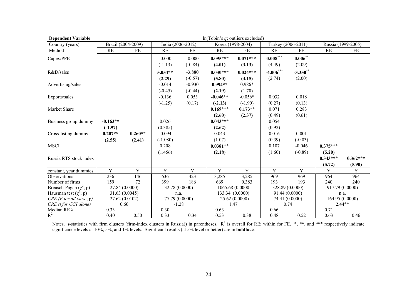| <b>Dependent Variable</b>   | $ln(Tobin's q;$ outliers excluded) |                    |                       |                       |                         |                        |                      |                       |                                |                      |
|-----------------------------|------------------------------------|--------------------|-----------------------|-----------------------|-------------------------|------------------------|----------------------|-----------------------|--------------------------------|----------------------|
| Country (years)             |                                    | Brazil (2004-2009) | India (2006-2012)     |                       | Korea (1998-2004)       |                        | Turkey (2006-2011)   |                       |                                | Russia (1999-2005)   |
| Method                      | <b>RE</b>                          | FE                 | <b>RE</b>             | FE                    | RE                      | FE                     | RE                   | FE                    | <b>RE</b>                      | FE                   |
| Capex/PPE                   |                                    |                    | $-0.000$<br>$(-1.13)$ | $-0.000$<br>$(-0.84)$ | $0.095***$<br>(4.01)    | $0.071***$<br>(3.13)   | $0.008***$<br>(4.49) | $0.006***$<br>(2.09)  |                                |                      |
| R&D/sales                   |                                    |                    | $5.054**$             | $-3.880$              | $0.030***$              | $0.024***$             | $-4.006***$          | $-3.350$ **           |                                |                      |
| Advertising/sales           |                                    |                    | (2.29)<br>$-0.014$    | $(-0.57)$<br>$-0.930$ | (5.80)<br>$0.994**$     | (3.15)<br>$0.986*$     | (2.74)               | (2.00)                |                                |                      |
| Exports/sales               |                                    |                    | $(-0.45)$<br>$-0.136$ | $(-0.44)$<br>0.053    | (2.19)<br>$-0.046**$    | (1.70)<br>$-0.056*$    | 0.032                | 0.018                 |                                |                      |
| Market Share                |                                    |                    | $(-1.25)$             | (0.17)                | $(-2.13)$<br>$0.169***$ | $(-1.90)$<br>$0.173**$ | (0.27)<br>0.071      | (0.13)<br>0.283       |                                |                      |
| Business group dummy        | $-0.163**$                         |                    | 0.026                 |                       | (2.60)<br>$0.043***$    | (2.37)                 | (0.49)<br>0.054      | (0.61)                |                                |                      |
| Cross-listing dummy         | $(-1.97)$<br>$0.207**$             | $0.260**$          | (0.385)<br>$-0.094$   |                       | (2.62)<br>0.043         |                        | (0.92)<br>0.016      | 0.001                 |                                |                      |
| <b>MSCI</b>                 | (2.55)                             | (2.41)             | $(-1.080)$<br>0.208   |                       | (1.07)<br>$0.0381**$    |                        | (0.39)<br>0.107      | $(-0.03)$<br>$-0.046$ | $0.375***$                     |                      |
| Russia RTS stock index      |                                    |                    | (1.456)               |                       | (2.18)                  |                        | (1.60)               | $(-0.89)$             | (5.20)<br>$0.343***$<br>(5.72) | $0.362***$<br>(5.90) |
| constant, year dummies      | Y                                  | Y                  | Y                     | Y                     | Y                       | Y                      | Y                    | Y                     | Y                              | Y                    |
| Observations                | 236                                | 146                | 636                   | 423                   | 3,285                   | 3,285                  | 969                  | 969                   | 964                            | 964                  |
| Number of firms             | 159                                | 72                 | 399                   | 186                   | 669                     | 0.383                  | 193                  | 193                   | 240                            | 240                  |
| Breusch-Pagan $(\chi^2; p)$ |                                    | 27.84 (0.0000)     | 32.78 (0.0000)        |                       |                         | 1065.68 (0.0000        |                      | 328.89 (0.0000)       |                                | 917.79 (0.0000)      |
| Hausman test $(\chi^2; p)$  |                                    | 31.63 (0.0045)     | n.a.                  |                       |                         | 133.34 (0.0000)        |                      | 91.44 (0.0000)        |                                | n.a.                 |
| $CRE$ (F for all vars., p)  |                                    | 27.62 (0.0102)     |                       | 77.79 (0.0000)        |                         | 125.62 (0.0000)        | 74.41 (0.0000)       |                       |                                | 164.95 (0.0000)      |
| CRE (t for CGI alone)       |                                    | 0.60               | $-1.28$               |                       | 1.47                    |                        | 0.74                 |                       |                                | $2.44**$             |
| Median REλ                  | 0.33                               |                    | 0.30                  |                       | 0.63                    |                        | 0.66                 |                       | 0.71                           |                      |
| $R^2$                       | 0.40                               | 0.50               | 0.33                  | 0.34                  | 0.53                    | 0.38                   | 0.48                 | 0.52                  | 0.63                           | 0.46                 |

Notes. *t*-statistics with firm clusters (firm-index clusters in Russia)) in parentheses.  $R^2$  is overall for RE; within for FE.  $*, **$ , and  $***$  respectively indicate significance levels at 10%, 5%, and 1% levels. Significant results (at 5% level or better) are in **boldface**.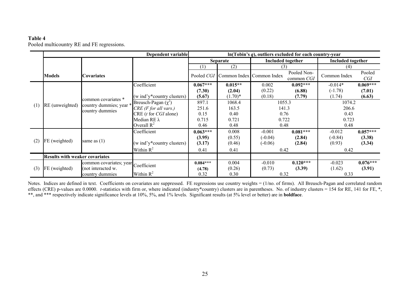# **Table 4**

Pooled multicountry RE and FE regressions.

|     |                                       |                                            | Dependent variable            | $ln(Tobin's q)$ , outliers excluded for each country-year |                                      |                          |                           |                          |               |  |  |
|-----|---------------------------------------|--------------------------------------------|-------------------------------|-----------------------------------------------------------|--------------------------------------|--------------------------|---------------------------|--------------------------|---------------|--|--|
|     |                                       |                                            |                               | Separate                                                  |                                      | <b>Included together</b> |                           | <b>Included together</b> |               |  |  |
|     |                                       |                                            |                               | (1)                                                       | (2)                                  | (3)                      |                           | (4)                      |               |  |  |
|     | Models                                | Covariates                                 |                               |                                                           | Pooled CGI Common Index Common Index |                          | Pooled Non-<br>common CGI | Common Index             | Pooled<br>CGI |  |  |
|     |                                       |                                            | Coefficient                   | $0.067***$                                                | $0.015**$                            | 0.002                    | $0.092***$                | $-0.014*$                | $0.069***$    |  |  |
|     |                                       |                                            |                               | (7.30)                                                    | (2.04)                               | (0.22)                   | (6.88)                    | $(-1.78)$                | (7.01)        |  |  |
|     |                                       | common covariates *                        | (w ind'y*country clusters)    | (5.67)                                                    | $(1.70)^*$                           | (0.18)                   | (7.79)                    | (1.74)                   | (6.63)        |  |  |
| (1) | RE (unweighted)                       | country dummies; year *<br>country dummies | Breusch-Pagan $(\chi^2)$      | 897.1                                                     | 1068.4                               | 1055.3                   |                           | 1074.2                   |               |  |  |
|     |                                       |                                            | $CRE$ (F for all vars.)       | 251.6<br>163.5<br>141.3                                   |                                      |                          | 206.6                     |                          |               |  |  |
|     |                                       |                                            | CRE(t for CGI alone)          | 0.15                                                      | 0.40                                 | 0.76                     |                           | 0.43                     |               |  |  |
|     |                                       |                                            | Median RE λ<br>0.715<br>0.721 |                                                           |                                      | 0.722                    |                           | 0.723                    |               |  |  |
|     |                                       |                                            | Overall $R^2$                 | 0.46                                                      | 0.48                                 | 0.48                     |                           | 0.48                     |               |  |  |
|     |                                       |                                            | Coefficient                   | $0.063***$                                                | 0.008                                | $-0.001$                 | $0.081***$                | $-0.012$                 | $0.057***$    |  |  |
| (2) | FE (weighted)                         |                                            |                               | (3.95)                                                    | (0.55)                               | $(-0.04)$                | (2.84)                    | $(-0.84)$                | (3.38)        |  |  |
|     |                                       | same as $(1)$                              | (w ind'y*country clusters)    | (3.17)                                                    | (0.46)                               | $(-0.06)$                | (2.84)                    | (0.93)                   | (3.34)        |  |  |
|     |                                       |                                            | Within $R^2$                  | 0.41                                                      | 0.41                                 | 0.42                     |                           | 0.42                     |               |  |  |
|     | <b>Results with weaker covariates</b> |                                            |                               |                                                           |                                      |                          |                           |                          |               |  |  |
|     |                                       | common covariates; year Coefficient        |                               | $0.084***$                                                | 0.004                                | $-0.010$                 | $0.120***$                | $-0.023$                 | $0.076***$    |  |  |
| (3) | FE (weighted)                         | (not interacted w.                         |                               | (4.78)                                                    | (0.26)                               | (0.73)                   | (3.39)                    | (1.62)                   | (3.91)        |  |  |
|     |                                       | country dummies                            | Within $R^2$                  | 0.32                                                      | 0.30                                 | 0.32                     |                           | 0.33                     |               |  |  |

Notes. Indices are defined in text. Coefficients on covariates are suppressed. FE regressions use country weights = (1/no. of firms). All Breusch-Pagan and correlated random effects (CRE) p-values are 0.0000. *t*-statistics with firm or, where indicated (industry\*country) clusters are in parentheses. No. of industry clusters = 154 for RE, 141 for FE, \*, \*\*, and \*\*\* respectively indicate significance levels at 10%, 5%, and 1% levels. Significant results (at 5% level or better) are in **boldface**.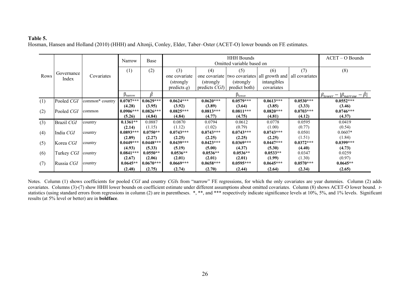# **Table 5.**

Hosman, Hansen and Holland (2010) (HHH) and Altonji, Conley, Elder, Taber–Oster (ACET-O) lower bounds on FE estimates.

|      |                     |                 | Narrow       | Base        |                | Omitted variable based on | $ACET - O$ Bounds                           |             |                |                                                           |
|------|---------------------|-----------------|--------------|-------------|----------------|---------------------------|---------------------------------------------|-------------|----------------|-----------------------------------------------------------|
|      |                     |                 | (1)          | (2)         | (3)            | (4)                       | (5)                                         | (6)         | (7)            | (8)                                                       |
| Rows | Governance<br>Index | Covariates      |              |             | one covariate  |                           | one covariate two covariates all growth and |             | all covariates |                                                           |
|      |                     |                 |              |             | (strongly)     | (strongly)                | (strongly)                                  | intangibles |                |                                                           |
|      |                     |                 |              |             | predicts $q$ ) | predicts $CGI$            | predict both)                               | covariates  |                |                                                           |
|      |                     |                 | $p_{narrow}$ | Â           |                | $\beta_{\text{lower}}$    |                                             |             |                |                                                           |
| (1)  | Pooled CGI          | common* country | $0.0707***$  | $0.0629***$ | $0.0624***$    | $0.0620***$               | $0.0579***$                                 | $0.0613***$ | $0.0530***$    | $\beta_{lower} -  \beta_{narrow} - \beta $<br>$0.0552***$ |
|      |                     |                 | (4.28)       | (3.95)      | (3.92)         | (3.89)                    | (3.64)                                      | (3.85)      | (3.33)         | (3.46)                                                    |
| (2)  | Pooled CGI          | common          | $0.0906***$  | $0.0826***$ | $0.0825***$    | $0.0813***$               | $0.0811***$                                 | $0.0820***$ | $0.0703***$    | $0.0746***$                                               |
|      |                     |                 | (5.26)       | (4.84)      | (4.84)         | (4.77)                    | (4.75)                                      | (4.81)      | (4.12)         | (4.37)                                                    |
| (3)  | Brazil CGI          | country         | $0.1361**$   | 0.0887      | 0.0870         | 0.0794                    | 0.0612                                      | 0.0778      | 0.0595         | 0.0419                                                    |
|      |                     |                 | (2.14)       | (1.15)      | (1.12)         | (1.02)                    | (0.79)                                      | (1.00)      | (0.77)         | (0.54)                                                    |
| (4)  | India CGI           | country         | $0.0893***$  | $0.0750**$  | $0.0743***$    | $0.0743***$               | $0.0743***$                                 | $0.0743***$ | 0.0501         | $0.0607*$                                                 |
|      |                     |                 | (2.89)       | (2.27)      | (2.25)         | (2.25)                    | (2.25)                                      | (2.25)      | (1.51)         | (1.84)                                                    |
| (5)  | Korea CGI           | country         | $0.0449***$  | $0.0448***$ | $0.0439***$    | $0.0423***$               | $0.0369***$                                 | $0.0447***$ | $0.0372***$    | $0.0399***$                                               |
|      |                     |                 | (4.93)       | (5.33)      | (5.19)         | (5.00)                    | (4.37)                                      | (5.30)      | (4.40)         | (4.73)                                                    |
| (6)  | Turkey CGI          | country         | $0.0841***$  | $0.0550**$  | $0.0536**$     | $0.0536**$                | $0.0536**$                                  | $0.0533**$  | 0.0347         | 0.0259                                                    |
|      |                     |                 | (2.67)       | (2.06)      | (2.01)         | (2.01)                    | (2.01)                                      | (1.99)      | (1.30)         | (0.97)                                                    |
| (7)  | Russia CGI          | country         | $0.0645**$   | $0.0670***$ | $0.0669***$    | $0.0658***$               | $0.0595***$                                 | $0.0645***$ | $0.0570***$    | $0.0645**$                                                |
|      |                     |                 | (2.48)       | (2.75)      | (2.74)         | (2.70)                    | (2.44)                                      | (2.64)      | (2.34)         | (2.65)                                                    |

Notes. Column (1) shows coefficients for pooled *CGI* and country *CGI*s from "narrow" FE regressions, for which the only covariates are year dummies. Column (2) adds covariates. Columns (3)-(7) show HHH lower bounds on coefficient estimate under different assumptions about omitted covariates. Column (8) shows ACET-O lower bound. *t*statistics (using standard errors from regressions in column (2) are in parentheses. \*, \*\*, and \*\*\* respectively indicate significance levels at 10%, 5%, and 1% levels. Significant results (at 5% level or better) are in **boldface**.